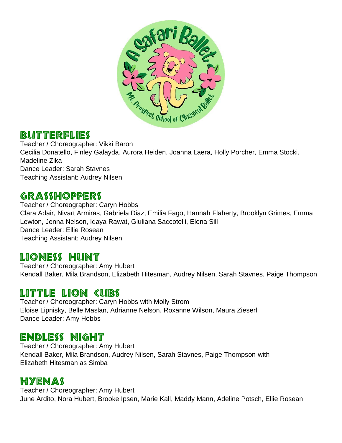

#### **BUTTERFLIES**

Teacher / Choreographer: Vikki Baron Cecilia Donatello, Finley Galayda, Aurora Heiden, Joanna Laera, Holly Porcher, Emma Stocki, Madeline Zika Dance Leader: Sarah Stavnes Teaching Assistant: Audrey Nilsen

## **GRASSHOPPERS**

Teacher / Choreographer: Caryn Hobbs Clara Adair, Nivart Armiras, Gabriela Diaz, Emilia Fago, Hannah Flaherty, Brooklyn Grimes, Emma Lewton, Jenna Nelson, Idaya Rawat, Giuliana Saccotelli, Elena Sill Dance Leader: Ellie Rosean Teaching Assistant: Audrey Nilsen

## Lioness Hunt

Teacher / Choreographer: Amy Hubert Kendall Baker, Mila Brandson, Elizabeth Hitesman, Audrey Nilsen, Sarah Stavnes, Paige Thompson

### Little Lion Cubs

Teacher / Choreographer: Caryn Hobbs with Molly Strom Eloise Lipnisky, Belle Maslan, Adrianne Nelson, Roxanne Wilson, Maura Zieserl Dance Leader: Amy Hobbs

## Endless Night

Teacher / Choreographer: Amy Hubert Kendall Baker, Mila Brandson, Audrey Nilsen, Sarah Stavnes, Paige Thompson with Elizabeth Hitesman as Simba

## Hyenas

Teacher / Choreographer: Amy Hubert June Ardito, Nora Hubert, Brooke Ipsen, Marie Kall, Maddy Mann, Adeline Potsch, Ellie Rosean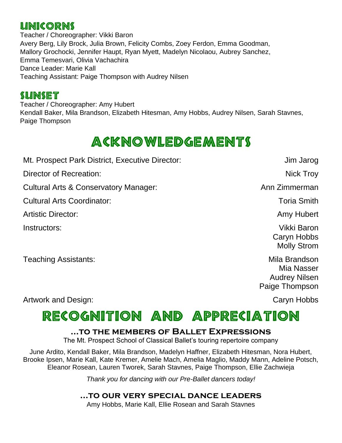### **LINICORNS**

Teacher / Choreographer: Vikki Baron Avery Berg, Lily Brock, Julia Brown, Felicity Combs, Zoey Ferdon, Emma Goodman, Mallory Grochocki, Jennifer Haupt, Ryan Myett, Madelyn Nicolaou, Aubrey Sanchez, Emma Temesvari, Olivia Vachachira Dance Leader: Marie Kall Teaching Assistant: Paige Thompson with Audrey Nilsen

### **SUNSET**

Teacher / Choreographer: Amy Hubert Kendall Baker, Mila Brandson, Elizabeth Hitesman, Amy Hobbs, Audrey Nilsen, Sarah Stavnes, Paige Thompson

# **ACKNOWLEDGEMENTS**

Mt. Prospect Park District, Executive Director: Jim Jarog Director of Recreation: Nick Troy Cultural Arts & Conservatory Manager: Cultural Arts & Conservatory Manager: Ann Zimmerman Cultural Arts Coordinator: Toria Smith Artistic Director: And Amy Hubert Amy Hubert Amy Hubert Instructors: Vikki Baron Caryn Hobbs Molly Strom

Teaching Assistants: Teaching Assistants: Teaching Assistants: Teaching Assistants: Teaching Assistants: Teaching Assistants: Teaching Assistants: Teaching Assistants: Teaching Assistants: Teaching Assistants: Teaching Ass

Mia Nasser Audrey Nilsen Paige Thompson

#### Artwork and Design: Caryn Hobbs

# RECOGNITION AND APPRECIATION

#### **...to the members of Ballet Expressions**

The Mt. Prospect School of Classical Ballet's touring repertoire company

June Ardito, Kendall Baker, Mila Brandson, Madelyn Haffner, Elizabeth Hitesman, Nora Hubert, Brooke Ipsen, Marie Kall, Kate Kremer, Amelie Mach, Amelia Maglio, Maddy Mann, Adeline Potsch, Eleanor Rosean, Lauren Tworek, Sarah Stavnes, Paige Thompson, Ellie Zachwieja

*Thank you for dancing with our Pre-Ballet dancers today!*

#### **…to our very special dance leaders**

Amy Hobbs, Marie Kall, Ellie Rosean and Sarah Stavnes